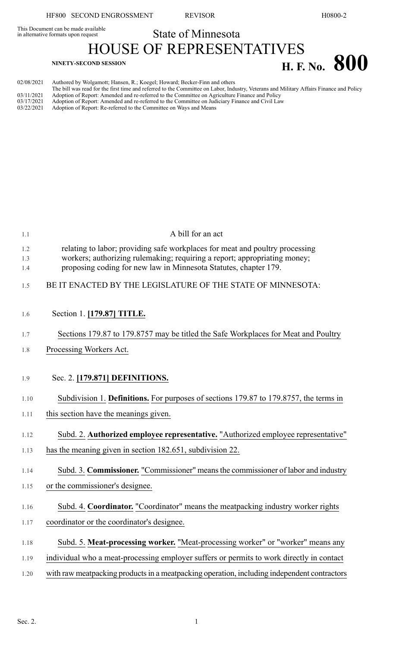This Document can be made available<br>in alternative formats upon request

## State of Minnesota HOUSE OF REPRESENTATIVES

|                                        | 110000 OI ROL ROOM NATI JA                                                                                                                                                                                                                                              |                      |  |
|----------------------------------------|-------------------------------------------------------------------------------------------------------------------------------------------------------------------------------------------------------------------------------------------------------------------------|----------------------|--|
|                                        | <b>NINETY-SECOND SESSION</b>                                                                                                                                                                                                                                            | <b>H. F. No. 800</b> |  |
| 02/08/2021                             | Authored by Wolgamott; Hansen, R.; Koegel; Howard; Becker-Finn and others<br>The bill was read for the first time and referred to the Committee on Labor, Industry, Veterans and Military Affairs Finance and Policy                                                    |                      |  |
| 03/11/2021<br>03/17/2021<br>03/22/2021 | Adoption of Report: Amended and re-referred to the Committee on Agriculture Finance and Policy<br>Adoption of Report: Amended and re-referred to the Committee on Judiciary Finance and Civil Law<br>Adoption of Report: Re-referred to the Committee on Ways and Means |                      |  |

| 1.1               | A bill for an act                                                                                                                                                                                                             |
|-------------------|-------------------------------------------------------------------------------------------------------------------------------------------------------------------------------------------------------------------------------|
| 1.2<br>1.3<br>1.4 | relating to labor; providing safe workplaces for meat and poultry processing<br>workers; authorizing rulemaking; requiring a report; appropriating money;<br>proposing coding for new law in Minnesota Statutes, chapter 179. |
| 1.5               | BE IT ENACTED BY THE LEGISLATURE OF THE STATE OF MINNESOTA:                                                                                                                                                                   |
| 1.6               | Section 1. [179.87] TITLE.                                                                                                                                                                                                    |
| 1.7               | Sections 179.87 to 179.8757 may be titled the Safe Workplaces for Meat and Poultry                                                                                                                                            |
| 1.8               | Processing Workers Act.                                                                                                                                                                                                       |
|                   |                                                                                                                                                                                                                               |
| 1.9               | Sec. 2. [179.871] DEFINITIONS.                                                                                                                                                                                                |
| 1.10              | Subdivision 1. Definitions. For purposes of sections 179.87 to 179.8757, the terms in                                                                                                                                         |
| 1.11              | this section have the meanings given.                                                                                                                                                                                         |
| 1.12              | Subd. 2. Authorized employee representative. "Authorized employee representative"                                                                                                                                             |
| 1.13              | has the meaning given in section 182.651, subdivision 22.                                                                                                                                                                     |
| 1.14              | Subd. 3. Commissioner. "Commissioner" means the commissioner of labor and industry                                                                                                                                            |
| 1.15              | or the commissioner's designee.                                                                                                                                                                                               |
| 1.16              | Subd. 4. Coordinator. "Coordinator" means the meatpacking industry worker rights                                                                                                                                              |
| 1.17              | coordinator or the coordinator's designee.                                                                                                                                                                                    |
| 1.18              | Subd. 5. Meat-processing worker. "Meat-processing worker" or "worker" means any                                                                                                                                               |
| 1.19              | individual who a meat-processing employer suffers or permits to work directly in contact                                                                                                                                      |
| 1.20              | with raw meatpacking products in a meatpacking operation, including independent contractors                                                                                                                                   |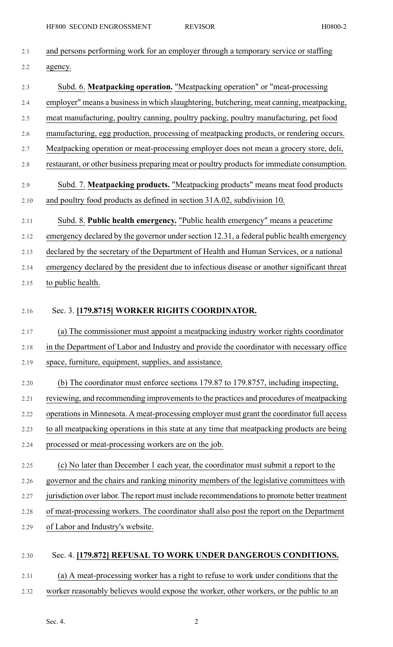| 2.1  | and persons performing work for an employer through a temporary service or staffing          |
|------|----------------------------------------------------------------------------------------------|
| 2.2  | agency.                                                                                      |
| 2.3  | Subd. 6. Meatpacking operation. "Meatpacking operation" or "meat-processing                  |
| 2.4  | employer" means a business in which slaughtering, butchering, meat canning, meatpacking,     |
| 2.5  | meat manufacturing, poultry canning, poultry packing, poultry manufacturing, pet food        |
| 2.6  | manufacturing, egg production, processing of meatpacking products, or rendering occurs.      |
| 2.7  | Meatpacking operation or meat-processing employer does not mean a grocery store, deli,       |
| 2.8  | restaurant, or other business preparing meat or poultry products for immediate consumption.  |
| 2.9  | Subd. 7. Meatpacking products. "Meatpacking products" means meat food products               |
| 2.10 | and poultry food products as defined in section 31A.02, subdivision 10.                      |
| 2.11 | Subd. 8. Public health emergency. "Public health emergency" means a peacetime                |
| 2.12 | emergency declared by the governor under section 12.31, a federal public health emergency    |
| 2.13 | declared by the secretary of the Department of Health and Human Services, or a national      |
| 2.14 | emergency declared by the president due to infectious disease or another significant threat  |
| 2.15 | to public health.                                                                            |
| 2.16 | Sec. 3. [179.8715] WORKER RIGHTS COORDINATOR.                                                |
| 2.17 | (a) The commissioner must appoint a meatpacking industry worker rights coordinator           |
| 2.18 | in the Department of Labor and Industry and provide the coordinator with necessary office    |
| 2.19 | space, furniture, equipment, supplies, and assistance.                                       |
| 2.20 | (b) The coordinator must enforce sections 179.87 to 179.8757, including inspecting,          |
| 2.21 | reviewing, and recommending improvements to the practices and procedures of meatpacking      |
| 2.22 | operations in Minnesota. A meat-processing employer must grant the coordinator full access   |
| 2.23 | to all meatpacking operations in this state at any time that meatpacking products are being  |
| 2.24 | processed or meat-processing workers are on the job.                                         |
| 2.25 | (c) No later than December 1 each year, the coordinator must submit a report to the          |
| 2.26 | governor and the chairs and ranking minority members of the legislative committees with      |
| 2.27 | jurisdiction over labor. The report must include recommendations to promote better treatment |
| 2.28 | of meat-processing workers. The coordinator shall also post the report on the Department     |
| 2.29 | of Labor and Industry's website.                                                             |
| 2.30 | Sec. 4. [179.872] REFUSAL TO WORK UNDER DANGEROUS CONDITIONS.                                |
| 2.31 | (a) A meat-processing worker has a right to refuse to work under conditions that the         |
| 2.32 | worker reasonably believes would expose the worker, other workers, or the public to an       |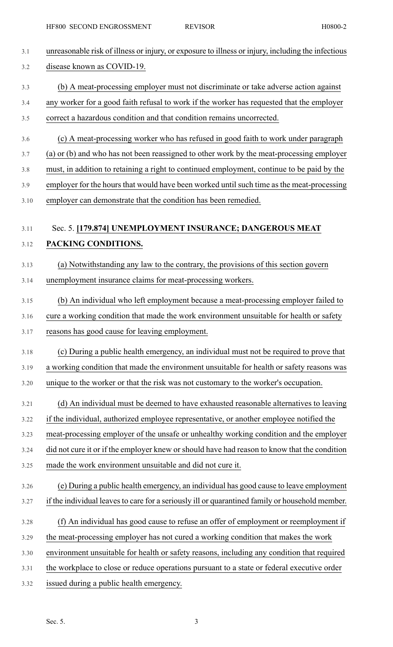| 3.1  | unreasonable risk of illness or injury, or exposure to illness or injury, including the infectious |
|------|----------------------------------------------------------------------------------------------------|
| 3.2  | disease known as COVID-19.                                                                         |
| 3.3  | (b) A meat-processing employer must not discriminate or take adverse action against                |
| 3.4  | any worker for a good faith refusal to work if the worker has requested that the employer          |
| 3.5  | correct a hazardous condition and that condition remains uncorrected.                              |
| 3.6  | (c) A meat-processing worker who has refused in good faith to work under paragraph                 |
| 3.7  | (a) or (b) and who has not been reassigned to other work by the meat-processing employer           |
| 3.8  | must, in addition to retaining a right to continued employment, continue to be paid by the         |
| 3.9  | employer for the hours that would have been worked until such time as the meat-processing          |
| 3.10 | employer can demonstrate that the condition has been remedied.                                     |
| 3.11 | Sec. 5. [179.874] UNEMPLOYMENT INSURANCE; DANGEROUS MEAT                                           |
| 3.12 | PACKING CONDITIONS.                                                                                |
|      |                                                                                                    |
| 3.13 | (a) Notwithstanding any law to the contrary, the provisions of this section govern                 |
| 3.14 | unemployment insurance claims for meat-processing workers.                                         |
| 3.15 | (b) An individual who left employment because a meat-processing employer failed to                 |
| 3.16 | cure a working condition that made the work environment unsuitable for health or safety            |
| 3.17 | reasons has good cause for leaving employment.                                                     |
| 3.18 | (c) During a public health emergency, an individual must not be required to prove that             |
| 3.19 | a working condition that made the environment unsuitable for health or safety reasons was          |
| 3.20 | unique to the worker or that the risk was not customary to the worker's occupation.                |
| 3.21 | (d) An individual must be deemed to have exhausted reasonable alternatives to leaving              |
| 3.22 | if the individual, authorized employee representative, or another employee notified the            |
| 3.23 | meat-processing employer of the unsafe or unhealthy working condition and the employer             |
| 3.24 | did not cure it or if the employer knew or should have had reason to know that the condition       |
| 3.25 | made the work environment unsuitable and did not cure it.                                          |
| 3.26 | (e) During a public health emergency, an individual has good cause to leave employment             |
| 3.27 | if the individual leaves to care for a seriously ill or quarantined family or household member.    |
| 3.28 | (f) An individual has good cause to refuse an offer of employment or reemployment if               |
| 3.29 | the meat-processing employer has not cured a working condition that makes the work                 |
| 3.30 | environment unsuitable for health or safety reasons, including any condition that required         |
| 3.31 | the workplace to close or reduce operations pursuant to a state or federal executive order         |
| 3.32 | issued during a public health emergency.                                                           |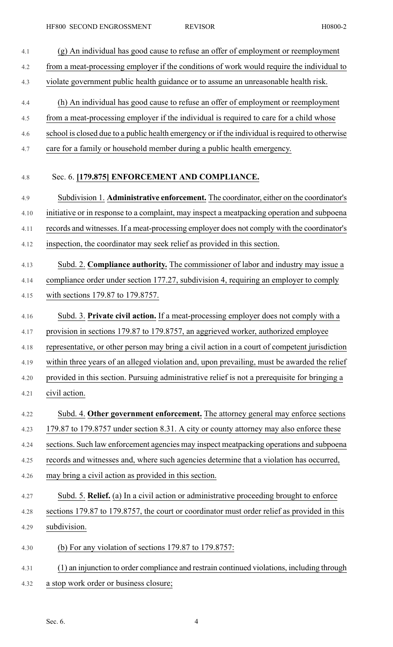| 4.1  | (g) An individual has good cause to refuse an offer of employment or reemployment               |
|------|-------------------------------------------------------------------------------------------------|
| 4.2  | from a meat-processing employer if the conditions of work would require the individual to       |
| 4.3  | violate government public health guidance or to assume an unreasonable health risk.             |
| 4.4  | (h) An individual has good cause to refuse an offer of employment or reemployment               |
| 4.5  | from a meat-processing employer if the individual is required to care for a child whose         |
| 4.6  | school is closed due to a public health emergency or if the individual is required to otherwise |
| 4.7  | care for a family or household member during a public health emergency.                         |
| 4.8  | Sec. 6. [179.875] ENFORCEMENT AND COMPLIANCE.                                                   |
| 4.9  | Subdivision 1. Administrative enforcement. The coordinator, either on the coordinator's         |
| 4.10 | initiative or in response to a complaint, may inspect a meatpacking operation and subpoena      |
| 4.11 | records and witnesses. If a meat-processing employer does not comply with the coordinator's     |
| 4.12 | inspection, the coordinator may seek relief as provided in this section.                        |
| 4.13 | Subd. 2. Compliance authority. The commissioner of labor and industry may issue a               |
| 4.14 | compliance order under section 177.27, subdivision 4, requiring an employer to comply           |
| 4.15 | with sections 179.87 to 179.8757.                                                               |
| 4.16 | Subd. 3. Private civil action. If a meat-processing employer does not comply with a             |
| 4.17 | provision in sections 179.87 to 179.8757, an aggrieved worker, authorized employee              |
| 4.18 | representative, or other person may bring a civil action in a court of competent jurisdiction   |
| 4.19 | within three years of an alleged violation and, upon prevailing, must be awarded the relief     |
| 4.20 | provided in this section. Pursuing administrative relief is not a prerequisite for bringing a   |
| 4.21 | civil action.                                                                                   |
| 4.22 | Subd. 4. Other government enforcement. The attorney general may enforce sections                |
| 4.23 | 179.87 to 179.8757 under section 8.31. A city or county attorney may also enforce these         |
| 4.24 | sections. Such law enforcement agencies may inspect meatpacking operations and subpoena         |
| 4.25 | records and witnesses and, where such agencies determine that a violation has occurred,         |
| 4.26 | may bring a civil action as provided in this section.                                           |
| 4.27 | Subd. 5. Relief. (a) In a civil action or administrative proceeding brought to enforce          |
| 4.28 | sections 179.87 to 179.8757, the court or coordinator must order relief as provided in this     |
| 4.29 | subdivision.                                                                                    |
| 4.30 | (b) For any violation of sections $179.87$ to $179.8757$ :                                      |
| 4.31 | (1) an injunction to order compliance and restrain continued violations, including through      |
| 4.32 | a stop work order or business closure;                                                          |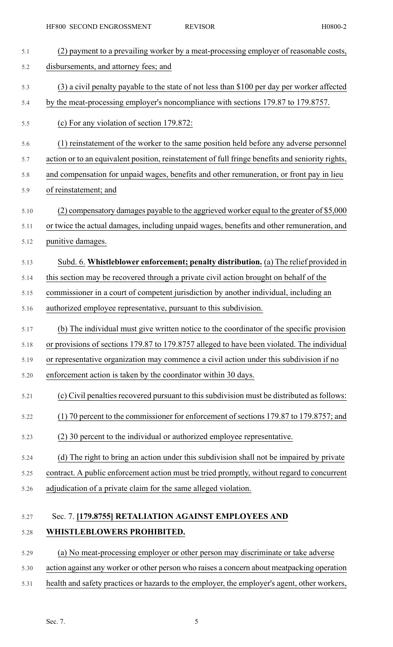| 5.1  | (2) payment to a prevailing worker by a meat-processing employer of reasonable costs,            |
|------|--------------------------------------------------------------------------------------------------|
| 5.2  | disbursements, and attorney fees; and                                                            |
| 5.3  | (3) a civil penalty payable to the state of not less than \$100 per day per worker affected      |
| 5.4  | by the meat-processing employer's noncompliance with sections 179.87 to 179.8757.                |
| 5.5  | (c) For any violation of section 179.872:                                                        |
| 5.6  | (1) reinstatement of the worker to the same position held before any adverse personnel           |
| 5.7  | action or to an equivalent position, reinstatement of full fringe benefits and seniority rights, |
| 5.8  | and compensation for unpaid wages, benefits and other remuneration, or front pay in lieu         |
| 5.9  | of reinstatement; and                                                                            |
| 5.10 | (2) compensatory damages payable to the aggrieved worker equal to the greater of \$5,000         |
| 5.11 | or twice the actual damages, including unpaid wages, benefits and other remuneration, and        |
| 5.12 | punitive damages.                                                                                |
| 5.13 | Subd. 6. Whistleblower enforcement; penalty distribution. (a) The relief provided in             |
| 5.14 | this section may be recovered through a private civil action brought on behalf of the            |
| 5.15 | commissioner in a court of competent jurisdiction by another individual, including an            |
| 5.16 | authorized employee representative, pursuant to this subdivision.                                |
| 5.17 | (b) The individual must give written notice to the coordinator of the specific provision         |
| 5.18 | or provisions of sections 179.87 to 179.8757 alleged to have been violated. The individual       |
| 5.19 | or representative organization may commence a civil action under this subdivision if no          |
| 5.20 | enforcement action is taken by the coordinator within 30 days.                                   |
| 5.21 | (c) Civil penalties recovered pursuant to this subdivision must be distributed as follows:       |
| 5.22 | (1) 70 percent to the commissioner for enforcement of sections 179.87 to 179.8757; and           |
| 5.23 | (2) 30 percent to the individual or authorized employee representative.                          |
| 5.24 | (d) The right to bring an action under this subdivision shall not be impaired by private         |
| 5.25 | contract. A public enforcement action must be tried promptly, without regard to concurrent       |
| 5.26 | adjudication of a private claim for the same alleged violation.                                  |
| 5.27 | Sec. 7. [179.8755] RETALIATION AGAINST EMPLOYEES AND                                             |
| 5.28 | WHISTLEBLOWERS PROHIBITED.                                                                       |
| 5.29 | (a) No meat-processing employer or other person may discriminate or take adverse                 |
| 5.30 | action against any worker or other person who raises a concern about meatpacking operation       |

5.31 health and safety practices or hazards to the employer, the employer's agent, other workers,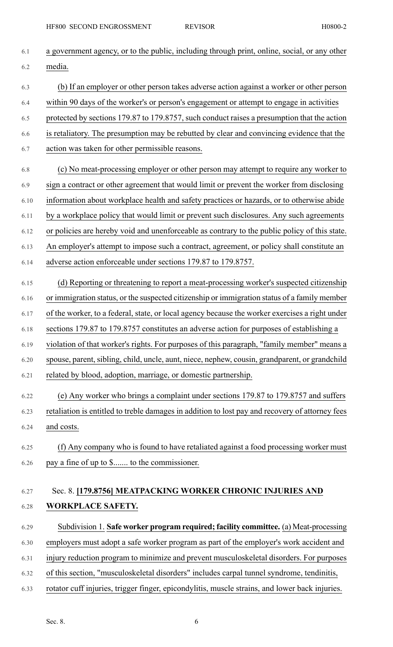| 6.1  | a government agency, or to the public, including through print, online, social, or any other    |
|------|-------------------------------------------------------------------------------------------------|
| 6.2  | media.                                                                                          |
| 6.3  | (b) If an employer or other person takes adverse action against a worker or other person        |
| 6.4  | within 90 days of the worker's or person's engagement or attempt to engage in activities        |
| 6.5  | protected by sections 179.87 to 179.8757, such conduct raises a presumption that the action     |
| 6.6  | is retaliatory. The presumption may be rebutted by clear and convincing evidence that the       |
| 6.7  | action was taken for other permissible reasons.                                                 |
| 6.8  | (c) No meat-processing employer or other person may attempt to require any worker to            |
| 6.9  | sign a contract or other agreement that would limit or prevent the worker from disclosing       |
| 6.10 | information about workplace health and safety practices or hazards, or to otherwise abide       |
| 6.11 | by a workplace policy that would limit or prevent such disclosures. Any such agreements         |
| 6.12 | or policies are hereby void and unenforceable as contrary to the public policy of this state.   |
| 6.13 | An employer's attempt to impose such a contract, agreement, or policy shall constitute an       |
| 6.14 | adverse action enforceable under sections 179.87 to 179.8757.                                   |
| 6.15 | (d) Reporting or threatening to report a meat-processing worker's suspected citizenship         |
| 6.16 | or immigration status, or the suspected citizenship or immigration status of a family member    |
| 6.17 | of the worker, to a federal, state, or local agency because the worker exercises a right under  |
| 6.18 | sections 179.87 to 179.8757 constitutes an adverse action for purposes of establishing a        |
| 6.19 | violation of that worker's rights. For purposes of this paragraph, "family member" means a      |
| 6.20 | spouse, parent, sibling, child, uncle, aunt, niece, nephew, cousin, grandparent, or grandchild  |
| 6.21 | related by blood, adoption, marriage, or domestic partnership.                                  |
| 6.22 | (e) Any worker who brings a complaint under sections 179.87 to 179.8757 and suffers             |
| 6.23 | retaliation is entitled to treble damages in addition to lost pay and recovery of attorney fees |
| 6.24 | and costs.                                                                                      |
| 6.25 | (f) Any company who is found to have retaliated against a food processing worker must           |
| 6.26 | pay a fine of up to \$ to the commissioner.                                                     |
| 6.27 | Sec. 8. [179.8756] MEATPACKING WORKER CHRONIC INJURIES AND                                      |
| 6.28 | <b>WORKPLACE SAFETY.</b>                                                                        |
|      |                                                                                                 |
| 6.29 | Subdivision 1. Safe worker program required; facility committee. (a) Meat-processing            |
| 6.30 | employers must adopt a safe worker program as part of the employer's work accident and          |
| 6.31 | injury reduction program to minimize and prevent musculoskeletal disorders. For purposes        |
| 6.32 | of this section, "musculoskeletal disorders" includes carpal tunnel syndrome, tendinitis,       |
| 6.33 | rotator cuff injuries, trigger finger, epicondylitis, muscle strains, and lower back injuries.  |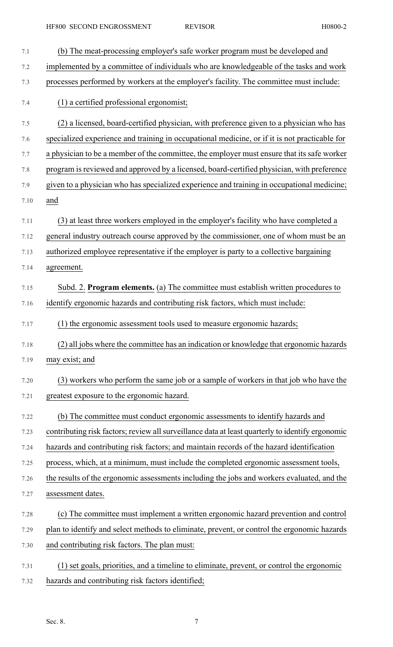| 7.1  | (b) The meat-processing employer's safe worker program must be developed and                     |
|------|--------------------------------------------------------------------------------------------------|
| 7.2  | implemented by a committee of individuals who are knowledgeable of the tasks and work            |
| 7.3  | processes performed by workers at the employer's facility. The committee must include:           |
| 7.4  | (1) a certified professional ergonomist;                                                         |
| 7.5  | (2) a licensed, board-certified physician, with preference given to a physician who has          |
| 7.6  | specialized experience and training in occupational medicine, or if it is not practicable for    |
| 7.7  | a physician to be a member of the committee, the employer must ensure that its safe worker       |
| 7.8  | program is reviewed and approved by a licensed, board-certified physician, with preference       |
| 7.9  | given to a physician who has specialized experience and training in occupational medicine;       |
| 7.10 | and                                                                                              |
| 7.11 | (3) at least three workers employed in the employer's facility who have completed a              |
| 7.12 | general industry outreach course approved by the commissioner, one of whom must be an            |
| 7.13 | authorized employee representative if the employer is party to a collective bargaining           |
| 7.14 | agreement.                                                                                       |
| 7.15 | Subd. 2. Program elements. (a) The committee must establish written procedures to                |
| 7.16 | identify ergonomic hazards and contributing risk factors, which must include:                    |
| 7.17 | (1) the ergonomic assessment tools used to measure ergonomic hazards;                            |
| 7.18 | (2) all jobs where the committee has an indication or knowledge that ergonomic hazards           |
| 7.19 | may exist; and                                                                                   |
| 7.20 | (3) workers who perform the same job or a sample of workers in that job who have the             |
| 7.21 | greatest exposure to the ergonomic hazard.                                                       |
| 7.22 | (b) The committee must conduct ergonomic assessments to identify hazards and                     |
| 7.23 | contributing risk factors; review all surveillance data at least quarterly to identify ergonomic |
| 7.24 | hazards and contributing risk factors; and maintain records of the hazard identification         |
| 7.25 | process, which, at a minimum, must include the completed ergonomic assessment tools,             |
| 7.26 | the results of the ergonomic assessments including the jobs and workers evaluated, and the       |
| 7.27 | assessment dates.                                                                                |
| 7.28 | (c) The committee must implement a written ergonomic hazard prevention and control               |
| 7.29 | plan to identify and select methods to eliminate, prevent, or control the ergonomic hazards      |
| 7.30 | and contributing risk factors. The plan must:                                                    |
| 7.31 | (1) set goals, priorities, and a timeline to eliminate, prevent, or control the ergonomic        |
| 7.32 | hazards and contributing risk factors identified;                                                |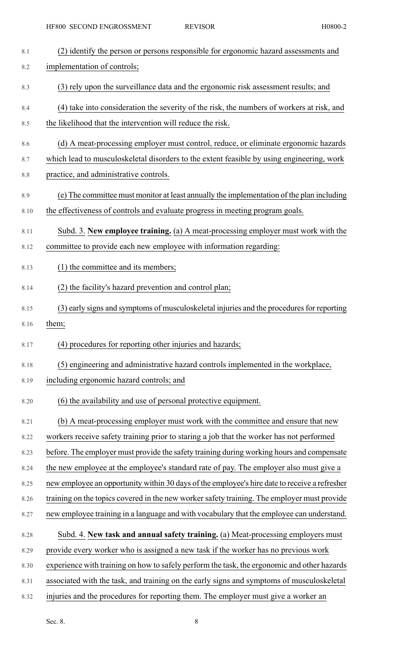| 8.1  | (2) identify the person or persons responsible for ergonomic hazard assessments and           |
|------|-----------------------------------------------------------------------------------------------|
| 8.2  | implementation of controls;                                                                   |
| 8.3  | (3) rely upon the surveillance data and the ergonomic risk assessment results; and            |
| 8.4  | (4) take into consideration the severity of the risk, the numbers of workers at risk, and     |
| 8.5  | the likelihood that the intervention will reduce the risk.                                    |
| 8.6  | (d) A meat-processing employer must control, reduce, or eliminate ergonomic hazards           |
| 8.7  | which lead to musculoskeletal disorders to the extent feasible by using engineering, work     |
| 8.8  | practice, and administrative controls.                                                        |
| 8.9  | (e) The committee must monitor at least annually the implementation of the plan including     |
| 8.10 | the effectiveness of controls and evaluate progress in meeting program goals.                 |
| 8.11 | Subd. 3. New employee training. (a) A meat-processing employer must work with the             |
| 8.12 | committee to provide each new employee with information regarding:                            |
| 8.13 | (1) the committee and its members;                                                            |
| 8.14 | (2) the facility's hazard prevention and control plan;                                        |
| 8.15 | (3) early signs and symptoms of musculoskeletal injuries and the procedures for reporting     |
| 8.16 | them;                                                                                         |
| 8.17 | (4) procedures for reporting other injuries and hazards;                                      |
| 8.18 | (5) engineering and administrative hazard controls implemented in the workplace,              |
| 8.19 | including ergonomic hazard controls; and                                                      |
| 8.20 | (6) the availability and use of personal protective equipment.                                |
| 8.21 | (b) A meat-processing employer must work with the committee and ensure that new               |
| 8.22 | workers receive safety training prior to staring a job that the worker has not performed      |
| 8.23 | before. The employer must provide the safety training during working hours and compensate     |
| 8.24 | the new employee at the employee's standard rate of pay. The employer also must give a        |
| 8.25 | new employee an opportunity within 30 days of the employee's hire date to receive a refresher |
| 8.26 | training on the topics covered in the new worker safety training. The employer must provide   |
| 8.27 | new employee training in a language and with vocabulary that the employee can understand.     |
| 8.28 | Subd. 4. New task and annual safety training. (a) Meat-processing employers must              |
| 8.29 | provide every worker who is assigned a new task if the worker has no previous work            |
| 8.30 | experience with training on how to safely perform the task, the ergonomic and other hazards   |
| 8.31 |                                                                                               |
|      | associated with the task, and training on the early signs and symptoms of musculoskeletal     |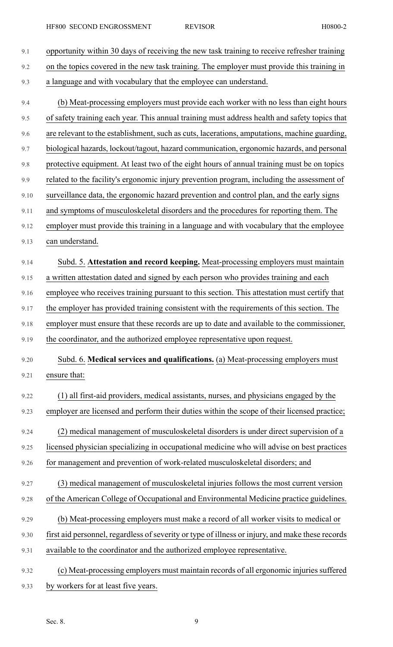| 9.1  | opportunity within 30 days of receiving the new task training to receive refresher training      |
|------|--------------------------------------------------------------------------------------------------|
| 9.2  | on the topics covered in the new task training. The employer must provide this training in       |
| 9.3  | a language and with vocabulary that the employee can understand.                                 |
| 9.4  | (b) Meat-processing employers must provide each worker with no less than eight hours             |
| 9.5  | of safety training each year. This annual training must address health and safety topics that    |
| 9.6  | are relevant to the establishment, such as cuts, lacerations, amputations, machine guarding,     |
| 9.7  | biological hazards, lockout/tagout, hazard communication, ergonomic hazards, and personal        |
| 9.8  | protective equipment. At least two of the eight hours of annual training must be on topics       |
| 9.9  | related to the facility's ergonomic injury prevention program, including the assessment of       |
| 9.10 | surveillance data, the ergonomic hazard prevention and control plan, and the early signs         |
| 9.11 | and symptoms of musculoskeletal disorders and the procedures for reporting them. The             |
| 9.12 | employer must provide this training in a language and with vocabulary that the employee          |
| 9.13 | can understand.                                                                                  |
| 9.14 | Subd. 5. Attestation and record keeping. Meat-processing employers must maintain                 |
| 9.15 | a written attestation dated and signed by each person who provides training and each             |
| 9.16 | employee who receives training pursuant to this section. This attestation must certify that      |
| 9.17 | the employer has provided training consistent with the requirements of this section. The         |
| 9.18 | employer must ensure that these records are up to date and available to the commissioner,        |
| 9.19 | the coordinator, and the authorized employee representative upon request.                        |
| 9.20 | Subd. 6. Medical services and qualifications. (a) Meat-processing employers must                 |
| 9.21 | ensure that:                                                                                     |
| 9.22 | (1) all first-aid providers, medical assistants, nurses, and physicians engaged by the           |
| 9.23 | employer are licensed and perform their duties within the scope of their licensed practice;      |
| 9.24 | (2) medical management of musculoskeletal disorders is under direct supervision of a             |
| 9.25 | licensed physician specializing in occupational medicine who will advise on best practices       |
| 9.26 | for management and prevention of work-related musculoskeletal disorders; and                     |
| 9.27 | (3) medical management of musculoskeletal injuries follows the most current version              |
| 9.28 | of the American College of Occupational and Environmental Medicine practice guidelines.          |
| 9.29 | (b) Meat-processing employers must make a record of all worker visits to medical or              |
| 9.30 | first aid personnel, regardless of severity or type of illness or injury, and make these records |
| 9.31 | available to the coordinator and the authorized employee representative.                         |
|      |                                                                                                  |
| 9.32 | (c) Meat-processing employers must maintain records of all ergonomic injuries suffered           |
| 9.33 | by workers for at least five years.                                                              |

Sec. 8. 9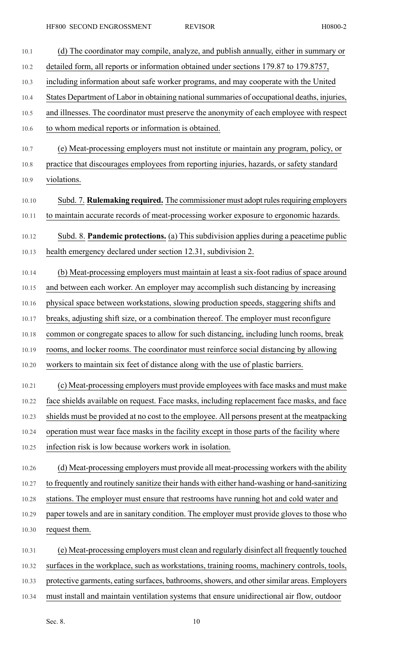| 10.1  | (d) The coordinator may compile, analyze, and publish annually, either in summary or         |
|-------|----------------------------------------------------------------------------------------------|
| 10.2  | detailed form, all reports or information obtained under sections 179.87 to 179.8757,        |
| 10.3  | including information about safe worker programs, and may cooperate with the United          |
| 10.4  | States Department of Labor in obtaining national summaries of occupational deaths, injuries, |
| 10.5  | and illnesses. The coordinator must preserve the anonymity of each employee with respect     |
| 10.6  | to whom medical reports or information is obtained.                                          |
| 10.7  | (e) Meat-processing employers must not institute or maintain any program, policy, or         |
| 10.8  | practice that discourages employees from reporting injuries, hazards, or safety standard     |
| 10.9  | violations.                                                                                  |
| 10.10 | Subd. 7. Rulemaking required. The commissioner must adopt rules requiring employers          |
| 10.11 | to maintain accurate records of meat-processing worker exposure to ergonomic hazards.        |
|       | Subd. 8. Pandemic protections. (a) This subdivision applies during a peacetime public        |
| 10.12 | health emergency declared under section 12.31, subdivision 2.                                |
| 10.13 |                                                                                              |
| 10.14 | (b) Meat-processing employers must maintain at least a six-foot radius of space around       |
| 10.15 | and between each worker. An employer may accomplish such distancing by increasing            |
| 10.16 | physical space between workstations, slowing production speeds, staggering shifts and        |
| 10.17 | breaks, adjusting shift size, or a combination thereof. The employer must reconfigure        |
| 10.18 | common or congregate spaces to allow for such distancing, including lunch rooms, break       |
| 10.19 | rooms, and locker rooms. The coordinator must reinforce social distancing by allowing        |
| 10.20 | workers to maintain six feet of distance along with the use of plastic barriers.             |
| 10.21 | (c) Meat-processing employers must provide employees with face masks and must make           |
| 10.22 | face shields available on request. Face masks, including replacement face masks, and face    |
| 10.23 | shields must be provided at no cost to the employee. All persons present at the meatpacking  |
| 10.24 | operation must wear face masks in the facility except in those parts of the facility where   |
| 10.25 | infection risk is low because workers work in isolation.                                     |
| 10.26 | (d) Meat-processing employers must provide all meat-processing workers with the ability      |
| 10.27 | to frequently and routinely sanitize their hands with either hand-washing or hand-sanitizing |
| 10.28 | stations. The employer must ensure that restrooms have running hot and cold water and        |
| 10.29 | paper towels and are in sanitary condition. The employer must provide gloves to those who    |
| 10.30 | request them.                                                                                |
| 10.31 | (e) Meat-processing employers must clean and regularly disinfect all frequently touched      |
| 10.32 | surfaces in the workplace, such as workstations, training rooms, machinery controls, tools,  |
| 10.33 | protective garments, eating surfaces, bathrooms, showers, and other similar areas. Employers |
| 10.34 | must install and maintain ventilation systems that ensure unidirectional air flow, outdoor   |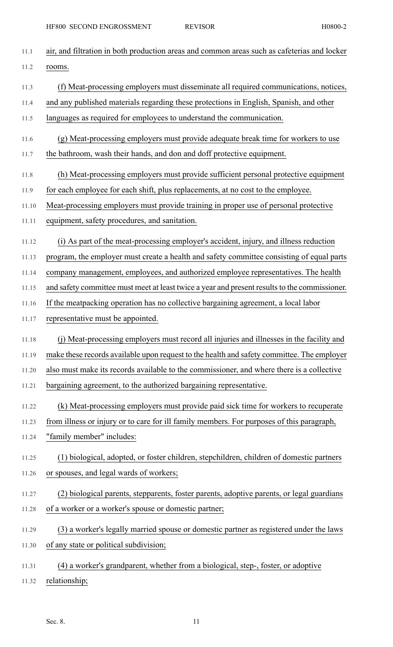| 11.1  | air, and filtration in both production areas and common areas such as cafeterias and locker   |
|-------|-----------------------------------------------------------------------------------------------|
| 11.2  | rooms.                                                                                        |
| 11.3  | (f) Meat-processing employers must disseminate all required communications, notices,          |
| 11.4  | and any published materials regarding these protections in English, Spanish, and other        |
| 11.5  | languages as required for employees to understand the communication.                          |
| 11.6  | (g) Meat-processing employers must provide adequate break time for workers to use             |
| 11.7  | the bathroom, wash their hands, and don and doff protective equipment.                        |
| 11.8  | (h) Meat-processing employers must provide sufficient personal protective equipment           |
| 11.9  | for each employee for each shift, plus replacements, at no cost to the employee.              |
| 11.10 | Meat-processing employers must provide training in proper use of personal protective          |
| 11.11 | equipment, safety procedures, and sanitation.                                                 |
| 11.12 | (i) As part of the meat-processing employer's accident, injury, and illness reduction         |
| 11.13 | program, the employer must create a health and safety committee consisting of equal parts     |
| 11.14 | company management, employees, and authorized employee representatives. The health            |
| 11.15 | and safety committee must meet at least twice a year and present results to the commissioner. |
| 11.16 | If the meatpacking operation has no collective bargaining agreement, a local labor            |
| 11.17 | representative must be appointed.                                                             |
| 11.18 | (i) Meat-processing employers must record all injuries and illnesses in the facility and      |
| 11.19 | make these records available upon request to the health and safety committee. The employer    |
| 11.20 | also must make its records available to the commissioner, and where there is a collective     |
| 11.21 | bargaining agreement, to the authorized bargaining representative.                            |
| 11.22 | (k) Meat-processing employers must provide paid sick time for workers to recuperate           |
| 11.23 | from illness or injury or to care for ill family members. For purposes of this paragraph,     |
| 11.24 | "family member" includes:                                                                     |
| 11.25 | (1) biological, adopted, or foster children, stepchildren, children of domestic partners      |
| 11.26 | or spouses, and legal wards of workers;                                                       |
| 11.27 | (2) biological parents, stepparents, foster parents, adoptive parents, or legal guardians     |
| 11.28 | of a worker or a worker's spouse or domestic partner;                                         |
| 11.29 | (3) a worker's legally married spouse or domestic partner as registered under the laws        |
| 11.30 | of any state or political subdivision;                                                        |
| 11.31 | (4) a worker's grandparent, whether from a biological, step-, foster, or adoptive             |
| 11.32 | relationship;                                                                                 |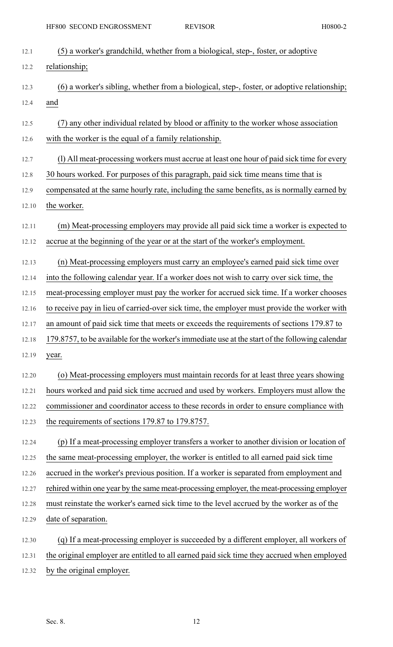| 12.1  | (5) a worker's grandchild, whether from a biological, step-, foster, or adoptive                |
|-------|-------------------------------------------------------------------------------------------------|
| 12.2  | relationship;                                                                                   |
| 12.3  | (6) a worker's sibling, whether from a biological, step-, foster, or adoptive relationship;     |
| 12.4  | and                                                                                             |
| 12.5  | (7) any other individual related by blood or affinity to the worker whose association           |
| 12.6  | with the worker is the equal of a family relationship.                                          |
| 12.7  | (1) All meat-processing workers must accrue at least one hour of paid sick time for every       |
| 12.8  | 30 hours worked. For purposes of this paragraph, paid sick time means time that is              |
| 12.9  | compensated at the same hourly rate, including the same benefits, as is normally earned by      |
| 12.10 | the worker.                                                                                     |
| 12.11 | (m) Meat-processing employers may provide all paid sick time a worker is expected to            |
| 12.12 | accrue at the beginning of the year or at the start of the worker's employment.                 |
| 12.13 | (n) Meat-processing employers must carry an employee's earned paid sick time over               |
| 12.14 | into the following calendar year. If a worker does not wish to carry over sick time, the        |
| 12.15 | meat-processing employer must pay the worker for accrued sick time. If a worker chooses         |
| 12.16 | to receive pay in lieu of carried-over sick time, the employer must provide the worker with     |
| 12.17 | an amount of paid sick time that meets or exceeds the requirements of sections 179.87 to        |
| 12.18 | 179.8757, to be available for the worker's immediate use at the start of the following calendar |
| 12.19 | year.                                                                                           |
| 12.20 | (o) Meat-processing employers must maintain records for at least three years showing            |
| 12.21 | hours worked and paid sick time accrued and used by workers. Employers must allow the           |
| 12.22 | commissioner and coordinator access to these records in order to ensure compliance with         |
| 12.23 | the requirements of sections 179.87 to 179.8757.                                                |
| 12.24 | (p) If a meat-processing employer transfers a worker to another division or location of         |
| 12.25 | the same meat-processing employer, the worker is entitled to all earned paid sick time          |
| 12.26 | accrued in the worker's previous position. If a worker is separated from employment and         |
| 12.27 | rehired within one year by the same meat-processing employer, the meat-processing employer      |
| 12.28 | must reinstate the worker's earned sick time to the level accrued by the worker as of the       |
| 12.29 | date of separation.                                                                             |
| 12.30 | (q) If a meat-processing employer is succeeded by a different employer, all workers of          |
| 12.31 | the original employer are entitled to all earned paid sick time they accrued when employed      |
| 12.32 | by the original employer.                                                                       |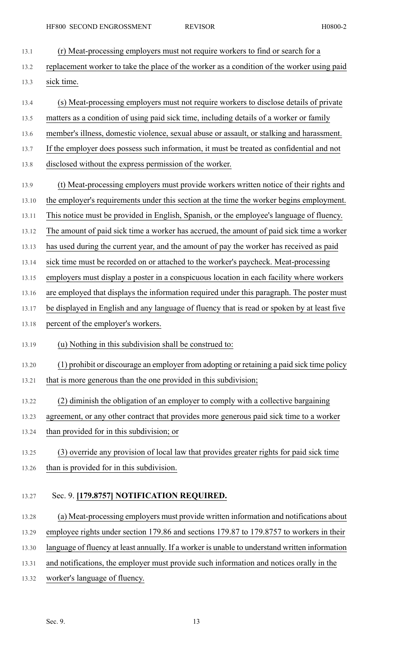| 13.1  | (r) Meat-processing employers must not require workers to find or search for a              |
|-------|---------------------------------------------------------------------------------------------|
| 13.2  | replacement worker to take the place of the worker as a condition of the worker using paid  |
| 13.3  | sick time.                                                                                  |
| 13.4  | (s) Meat-processing employers must not require workers to disclose details of private       |
| 13.5  | matters as a condition of using paid sick time, including details of a worker or family     |
| 13.6  | member's illness, domestic violence, sexual abuse or assault, or stalking and harassment.   |
| 13.7  | If the employer does possess such information, it must be treated as confidential and not   |
| 13.8  | disclosed without the express permission of the worker.                                     |
| 13.9  | (t) Meat-processing employers must provide workers written notice of their rights and       |
| 13.10 | the employer's requirements under this section at the time the worker begins employment.    |
| 13.11 | This notice must be provided in English, Spanish, or the employee's language of fluency.    |
| 13.12 | The amount of paid sick time a worker has accrued, the amount of paid sick time a worker    |
| 13.13 | has used during the current year, and the amount of pay the worker has received as paid     |
| 13.14 | sick time must be recorded on or attached to the worker's paycheck. Meat-processing         |
| 13.15 | employers must display a poster in a conspicuous location in each facility where workers    |
| 13.16 | are employed that displays the information required under this paragraph. The poster must   |
| 13.17 | be displayed in English and any language of fluency that is read or spoken by at least five |
| 13.18 | percent of the employer's workers.                                                          |
| 13.19 | (u) Nothing in this subdivision shall be construed to:                                      |
| 13.20 | (1) prohibit or discourage an employer from adopting or retaining a paid sick time policy   |
| 13.21 | that is more generous than the one provided in this subdivision;                            |
| 13.22 | (2) diminish the obligation of an employer to comply with a collective bargaining           |
| 13.23 | agreement, or any other contract that provides more generous paid sick time to a worker     |
| 13.24 | than provided for in this subdivision; or                                                   |
| 13.25 | (3) override any provision of local law that provides greater rights for paid sick time     |
| 13.26 | than is provided for in this subdivision.                                                   |
| 13.27 | Sec. 9. [179.8757] NOTIFICATION REQUIRED.                                                   |
| 13.28 | (a) Meat-processing employers must provide written information and notifications about      |
| 13.29 | employee rights under section 179.86 and sections 179.87 to 179.8757 to workers in their    |

- 13.30 language of fluency at least annually. If a worker is unable to understand written information
- 13.31 and notifications, the employer must provide such information and notices orally in the
- 13.32 worker's language of fluency.